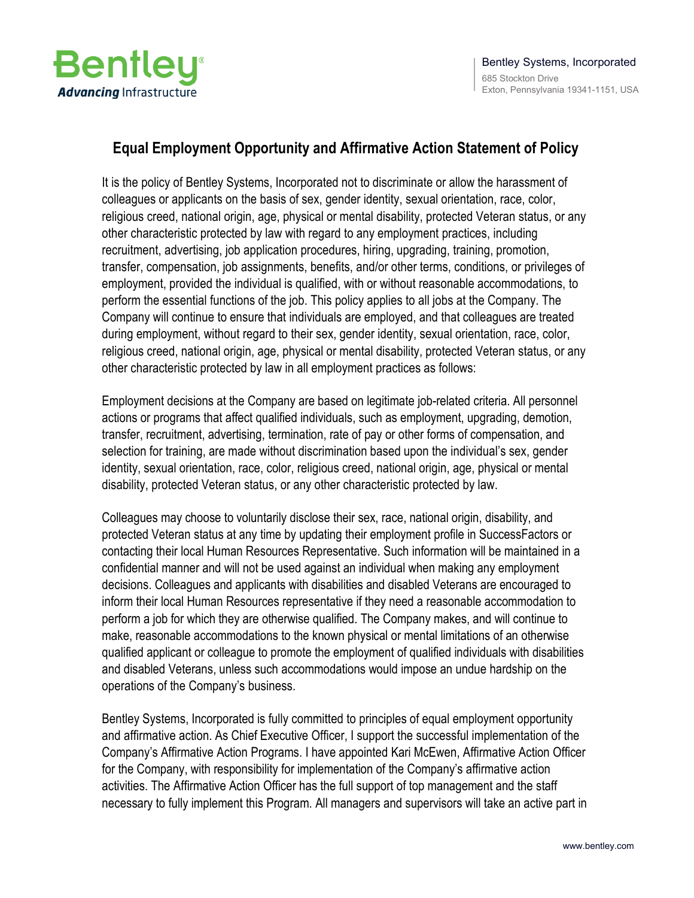

## **Equal Employment Opportunity and Affirmative Action Statement of Policy**

It is the policy of Bentley Systems, Incorporated not to discriminate or allow the harassment of colleagues or applicants on the basis of sex, gender identity, sexual orientation, race, color, religious creed, national origin, age, physical or mental disability, protected Veteran status, or any other characteristic protected by law with regard to any employment practices, including recruitment, advertising, job application procedures, hiring, upgrading, training, promotion, transfer, compensation, job assignments, benefits, and/or other terms, conditions, or privileges of employment, provided the individual is qualified, with or without reasonable accommodations, to perform the essential functions of the job. This policy applies to all jobs at the Company. The Company will continue to ensure that individuals are employed, and that colleagues are treated during employment, without regard to their sex, gender identity, sexual orientation, race, color, religious creed, national origin, age, physical or mental disability, protected Veteran status, or any other characteristic protected by law in all employment practices as follows:

Employment decisions at the Company are based on legitimate job-related criteria. All personnel actions or programs that affect qualified individuals, such as employment, upgrading, demotion, transfer, recruitment, advertising, termination, rate of pay or other forms of compensation, and selection for training, are made without discrimination based upon the individual's sex, gender identity, sexual orientation, race, color, religious creed, national origin, age, physical or mental disability, protected Veteran status, or any other characteristic protected by law.

Colleagues may choose to voluntarily disclose their sex, race, national origin, disability, and protected Veteran status at any time by updating their employment profile in SuccessFactors or contacting their local Human Resources Representative. Such information will be maintained in a confidential manner and will not be used against an individual when making any employment decisions. Colleagues and applicants with disabilities and disabled Veterans are encouraged to inform their local Human Resources representative if they need a reasonable accommodation to perform a job for which they are otherwise qualified. The Company makes, and will continue to make, reasonable accommodations to the known physical or mental limitations of an otherwise qualified applicant or colleague to promote the employment of qualified individuals with disabilities and disabled Veterans, unless such accommodations would impose an undue hardship on the operations of the Company's business.

Bentley Systems, Incorporated is fully committed to principles of equal employment opportunity and affirmative action. As Chief Executive Officer, I support the successful implementation of the Company's Affirmative Action Programs. I have appointed Kari McEwen, Affirmative Action Officer for the Company, with responsibility for implementation of the Company's affirmative action activities. The Affirmative Action Officer has the full support of top management and the staff necessary to fully implement this Program. All managers and supervisors will take an active part in